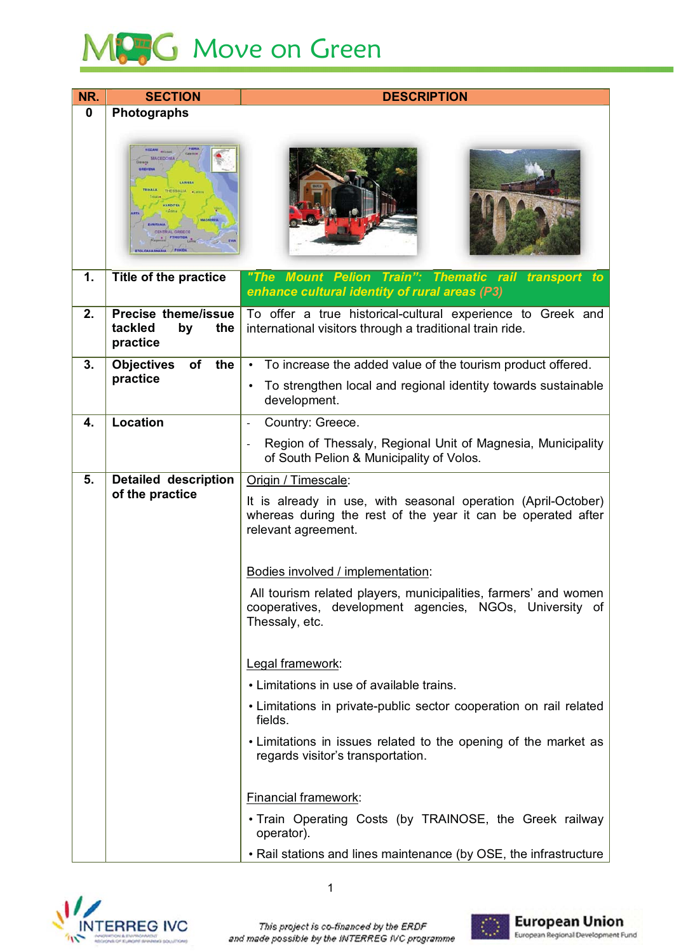## MCG Move on Green

| NR.         | <b>SECTION</b>                                                   | <b>DESCRIPTION</b>                                                                                                                                   |
|-------------|------------------------------------------------------------------|------------------------------------------------------------------------------------------------------------------------------------------------------|
| $\mathbf 0$ | Photographs                                                      |                                                                                                                                                      |
|             | <b>THESSALIA</b><br>KARDITSA<br>CENTRAL GREECI<br><b>FTHOTIC</b> |                                                                                                                                                      |
| 1.          | Title of the practice                                            | "The Mount Pelion Train": Thematic rail transport<br>to<br>enhance cultural identity of rural areas (P3)                                             |
| 2.          | <b>Precise theme/issue</b><br>tackled<br>by<br>the<br>practice   | To offer a true historical-cultural experience to Greek and<br>international visitors through a traditional train ride.                              |
| 3.          | <b>Objectives</b><br>of<br>the                                   | To increase the added value of the tourism product offered.<br>$\bullet$                                                                             |
|             | practice                                                         | To strengthen local and regional identity towards sustainable<br>$\bullet$<br>development.                                                           |
| 4.          | <b>Location</b>                                                  | Country: Greece.<br>$\overline{\phantom{a}}$                                                                                                         |
|             |                                                                  | Region of Thessaly, Regional Unit of Magnesia, Municipality<br>of South Pelion & Municipality of Volos.                                              |
| 5.          | <b>Detailed description</b>                                      | Origin / Timescale:                                                                                                                                  |
|             | of the practice                                                  | It is already in use, with seasonal operation (April-October)<br>whereas during the rest of the year it can be operated after<br>relevant agreement. |
|             |                                                                  | Bodies involved / implementation:                                                                                                                    |
|             |                                                                  | All tourism related players, municipalities, farmers' and women<br>cooperatives, development agencies, NGOs, University of<br>Thessaly, etc.         |
|             |                                                                  | Legal framework:                                                                                                                                     |
|             |                                                                  | • Limitations in use of available trains.                                                                                                            |
|             |                                                                  | • Limitations in private-public sector cooperation on rail related<br>fields.                                                                        |
|             |                                                                  | • Limitations in issues related to the opening of the market as<br>regards visitor's transportation.                                                 |
|             |                                                                  | Financial framework:                                                                                                                                 |
|             |                                                                  | . Train Operating Costs (by TRAINOSE, the Greek railway<br>operator).                                                                                |
|             |                                                                  | • Rail stations and lines maintenance (by OSE, the infrastructure                                                                                    |